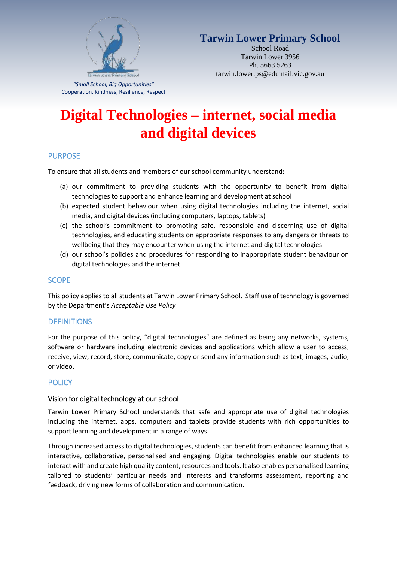

# **Tarwin Lower Primary School**

School Road Tarwin Lower 3956 Ph. 5663 5263 tarwin.lower.ps@edumail.vic.gov.au

*"Small School, Big Opportunities"* Cooperation, Kindness, Resilience, Respect

# **Digital Technologies – internet, social media and digital devices**

# PURPOSE

To ensure that all students and members of our school community understand:

- (a) our commitment to providing students with the opportunity to benefit from digital technologies to support and enhance learning and development at school
- (b) expected student behaviour when using digital technologies including the internet, social media, and digital devices (including computers, laptops, tablets)
- (c) the school's commitment to promoting safe, responsible and discerning use of digital technologies, and educating students on appropriate responses to any dangers or threats to wellbeing that they may encounter when using the internet and digital technologies
- (d) our school's policies and procedures for responding to inappropriate student behaviour on digital technologies and the internet

#### **SCOPE**

This policy applies to all students at Tarwin Lower Primary School. Staff use of technology is governed by the Department's *Acceptable Use Policy* 

# **DEFINITIONS**

For the purpose of this policy, "digital technologies" are defined as being any networks, systems, software or hardware including electronic devices and applications which allow a user to access, receive, view, record, store, communicate, copy or send any information such as text, images, audio, or video.

# **POLICY**

#### Vision for digital technology at our school

Tarwin Lower Primary School understands that safe and appropriate use of digital technologies including the internet, apps, computers and tablets provide students with rich opportunities to support learning and development in a range of ways.

Through increased access to digital technologies, students can benefit from enhanced learning that is interactive, collaborative, personalised and engaging. Digital technologies enable our students to interact with and create high quality content, resources and tools. It also enables personalised learning tailored to students' particular needs and interests and transforms assessment, reporting and feedback, driving new forms of collaboration and communication.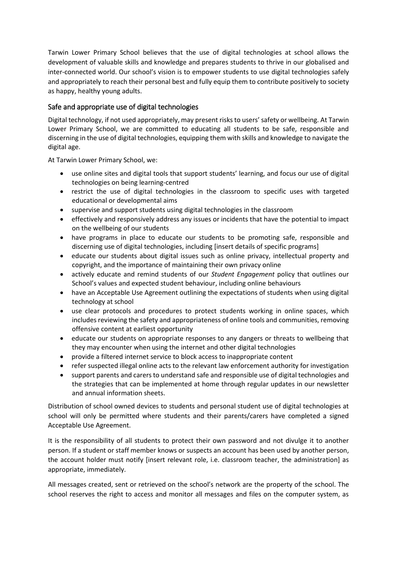Tarwin Lower Primary School believes that the use of digital technologies at school allows the development of valuable skills and knowledge and prepares students to thrive in our globalised and inter-connected world. Our school's vision is to empower students to use digital technologies safely and appropriately to reach their personal best and fully equip them to contribute positively to society as happy, healthy young adults.

# Safe and appropriate use of digital technologies

Digital technology, if not used appropriately, may present risks to users' safety or wellbeing. At Tarwin Lower Primary School, we are committed to educating all students to be safe, responsible and discerning in the use of digital technologies, equipping them with skills and knowledge to navigate the digital age.

At Tarwin Lower Primary School, we:

- use online sites and digital tools that support students' learning, and focus our use of digital technologies on being learning-centred
- restrict the use of digital technologies in the classroom to specific uses with targeted educational or developmental aims
- supervise and support students using digital technologies in the classroom
- effectively and responsively address any issues or incidents that have the potential to impact on the wellbeing of our students
- have programs in place to educate our students to be promoting safe, responsible and discerning use of digital technologies, including [insert details of specific programs]
- educate our students about digital issues such as online privacy, intellectual property and copyright, and the importance of maintaining their own privacy online
- actively educate and remind students of our *Student Engagement* policy that outlines our School's values and expected student behaviour, including online behaviours
- have an Acceptable Use Agreement outlining the expectations of students when using digital technology at school
- use clear protocols and procedures to protect students working in online spaces, which includes reviewing the safety and appropriateness of online tools and communities, removing offensive content at earliest opportunity
- educate our students on appropriate responses to any dangers or threats to wellbeing that they may encounter when using the internet and other digital technologies
- provide a filtered internet service to block access to inappropriate content
- refer suspected illegal online acts to the relevant law enforcement authority for investigation
- support parents and carers to understand safe and responsible use of digital technologies and the strategies that can be implemented at home through regular updates in our newsletter and annual information sheets.

Distribution of school owned devices to students and personal student use of digital technologies at school will only be permitted where students and their parents/carers have completed a signed Acceptable Use Agreement.

It is the responsibility of all students to protect their own password and not divulge it to another person. If a student or staff member knows or suspects an account has been used by another person, the account holder must notify [insert relevant role, i.e. classroom teacher, the administration] as appropriate, immediately.

All messages created, sent or retrieved on the school's network are the property of the school. The school reserves the right to access and monitor all messages and files on the computer system, as